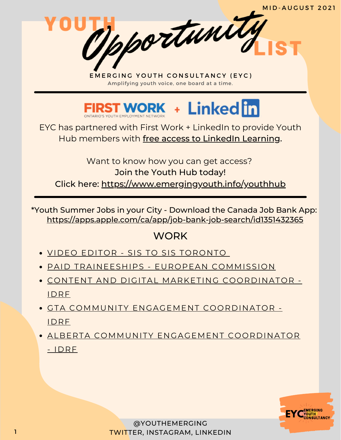

EYC has partnered with First Work + LinkedIn to provide Youth Hub members with free access to LinkedIn Learning.

Want to know how you can get access? Join the Youth Hub today! Click here: <https://www.emergingyouth.info/youthhub>

\*Youth Summer Jobs in your City - Download the Canada Job Bank App: <https://apps.apple.com/ca/app/job-bank-job-search/id1351432365>

#### **WORK**

- VIDEO EDITOR SIS TO SIS [TORONTO](https://docs.google.com/forms/d/e/1FAIpQLSero7irTCxSD1cz3kDKcweIh3-HgLJKu6nJd7F4SYag_JiyHw/viewform)
- PAID [TRAINEESHIPS](https://traineeships.ec.europa.eu/?utm_campaign=58be742173a6a31b06082356&utm_content=6107cc4d5a8af900018c3dac&utm_medium=smarpshare&utm_source=linkedin) EUROPEAN COMMISSION
- [CONTENT](https://charityvillage.com/jobs/content-and-digital-marketing-coordinator-in-toronto-toronto-division-ontario-ca/) AND DIGITAL MARKETING [COORDINATOR](https://charityvillage.com/jobs/content-and-digital-marketing-coordinator-in-toronto-toronto-division-ontario-ca/) IDRF
- GTA COMMUNITY ENGAGEMENT [COORDINATOR](https://charityvillage.com/jobs/community-engagement-coordinator-in-toronto-ontario-ca/) IDRF
- ALBERTA COMMUNITY ENGAGEMENT [COORDINATOR](https://charityvillage.com/jobs/alberta-community-engagement-coordinator-in-calgary-division-no-6-alberta-ca/) - IDRF

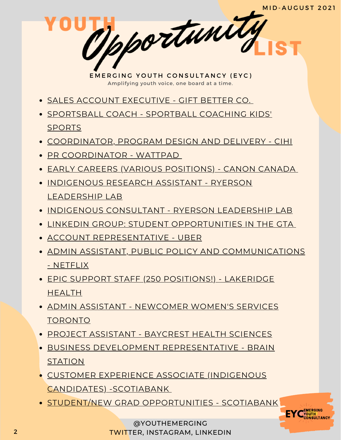**EYC** CONSULTANCY

EMERGING YOUTH CONSULTANCY (EYC) Amplifying youth voice, one board at a time.

- SALES ACCOUNT [EXECUTIVE](https://www.linkedin.com/jobs/view/2678148893/) GIFT BETTER CO.
- [SPORTSBALL](https://www.linkedin.com/jobs/view/2675235212/) COACH SPORTBALL COACHING KIDS' SPORTS
- [COORDINATOR,](https://client.njoyn.com/CL2/xweb/Xweb.asp?tbtoken=YV5bRxMXCBt3Y3J5RVJSCFtMBmFEcFBYAUggW1sPE20tWkpvWUFtdBF2cQkbVhJRSHcqWA%3D%3D&chk=ZVpaShw%3D&CLID=27317&page=jobdetails&JobID=J0821-0101&brid=EX289460&LANG=1) PROGRAM DESIGN AND DELIVERY CIHI
- PR [COORDINATOR](https://jobs.lever.co/wattpad/c66e11c8-9369-4bfa-9bb5-1a66e48b1454) WATTPAD
- EARLY CAREERS (VARIOUS [POSITIONS\)](https://careers.canon.ca/early-careers/) CANON CANADA
- **[INDIGENOUS](https://docs.google.com/document/d/1kKydPHpharCRW8NFgS50p7T-crp_qe1U8_ue4MdwzrE/edit) RESEARCH ASSISTANT RYERSON** LEADERSHIP LAB
- **INDIGENOUS [CONSULTANT](https://docs.google.com/document/d/1jRDM-rzhZovziTHQn6lfMEqqpktHXSQ_b4M-n2B1yfY/edit) RYERSON LEADERSHIP LAB**
- LINKEDIN GROUP: STUDENT [OPPORTUNITIES](https://www.linkedin.com/groups/12455311) IN THE GTA
- ACCOUNT [REPRESENTATIVE](https://www.uber.com/global/en/careers/list/102521/) UBER
- **ADMIN ASSISTANT, PUBLIC POLICY AND [COMMUNICATIONS](https://jobs.netflix.com/jobs/86828011)** - NETFLIX
- EPIC SUPPORT STAFF (250 [POSITIONS!\)](https://careers.lakeridgehealth.on.ca/eRecruit/VacancyDetail.aspx?VacancyUID=000000033155) LAKERIDGE HEALTH
- **ADMIN ASSISTANT [NEWCOMER](https://www.newcomerwomen.org/job-openings/new-project-coordinator-july-2021) WOMEN'S SERVICES** TORONTO
- PROJECT [ASSISTANT](https://baycrest-hospital-openhire.silkroad.com/epostings/index.cfm?fuseaction=app.dspjob&jobid=2790&company_id=30045&version=1&jobBoardId=10009) BAYCREST HEALTH SCIENCES
- BUSINESS DEVELOPMENT [REPRESENTATIVE](https://boards.greenhouse.io/brainstation/jobs/4446054003?gh_src=c1c990643us) BRAIN **STATION**
- CUSTOMER EXPERIENCE ASSOCIATE (INDIGENOUS CANDIDATES) [-SCOTIABANK](https://jobs.scotiabank.com/Scotiabank%20(default)/job/Brampton-First-Nations%2C-Inuit-and-Metis-Candidates-Customer-Representative-%28Toronto-Region%29-ON/543784917/)
- STUDENT/NEW GRAD [OPPORTUNITIES](https://jobs.scotiabank.com/go/Student-&-New-Grad-Jobs/2298417/?utm_campaign=JB_Sept20_Campus_CareerSite_CTA_EN) SCOTIABANK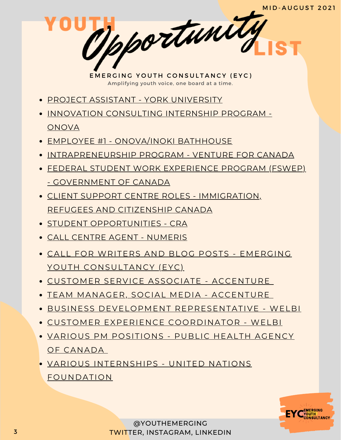- **PROJECT ASSISTANT YORK [UNIVERSITY](https://jobs-ca.technomedia.com/yorkuniversity/?offerid=3662)**
- **INNOVATION [CONSULTING](https://www.onova.io/innovation-consulting-internship) INTERNSHIP PROGRAM -ONOVA**
- EMPLOYEE #1 [ONOVA/INOKI](https://www.onova.io/onova-inoki-bathhouse) BATHHOUSE
- [INTRAPRENEURSHIP](https://ventureforcanada.ca/programs/intrapreneurship) PROGRAM VENTURE FOR CANADA
- FEDERAL STUDENT WORK EXPERIENCE PROGRAM (FSWEP) - [GOVERNMENT](https://www.canada.ca/en/public-service-commission/jobs/services/recruitment/students/federal-student-work-program.html) OF CANADA
- CLIENT SUPPORT CENTRE ROLES [IMMIGRATION,](https://emploisfp-psjobs.cfp-psc.gc.ca/psrs-srfp/applicant/page1800?toggleLanguage=en&poster=1504432) REFUGEES AND CITIZENSHIP CANADA
- **STUDENT [OPPORTUNITIES](https://careers-carrieres.cra-arc.gc.ca/gol-ged/wcis/pub/rtrvjbpst.action?pi=D06726B228B01EDBB2C1A18D2C3EA0F2) CRA**
- CALL CENTRE AGENT [NUMERIS](https://numeris.csod.com/ux/ats/careersite/6/home/requisition/406?c=numeris)
- CALL FOR WRITERS AND BLOG POSTS EMERGING YOUTH [CONSULTANCY](https://www.emergingyouth.info/youthhub) (EYC)
- CUSTOMER SERVICE ASSOCIATE [ACCENTURE](https://www.accenture.com/ca-en/careers/jobdetails?id=R00035809_en&title=Customer+Service+Associate+-+Permanent)
- TEAM MANAGER, SOCIAL MEDIA [ACCENTURE](https://www.accenture.com/ca-en/careers/jobdetails?id=R00023661_en&title=Team+Manager+-+Social+Media)
- BUSINESS DEVELOPMENT [REPRESENTATIVE](https://www.welbi.co/careers/business-development-representative-2) WELBI
- CUSTOMER EXPERIENCE [COORDINATOR](https://www.welbi.co/careers/customer-experience-coordinator) WELBI
- VARIOUS PM [POSITIONS](https://emploisfp-psjobs.cfp-psc.gc.ca/psrs-srfp/applicant/page1800?toggleLanguage=en&poster=1601436) PUBLIC HEALTH AGENCY OF CANADA
- VARIOUS INTERNSHIPS UNITED NATIONS [FOUNDATION](https://unfoundation.org/careers/internship-opportunities/)

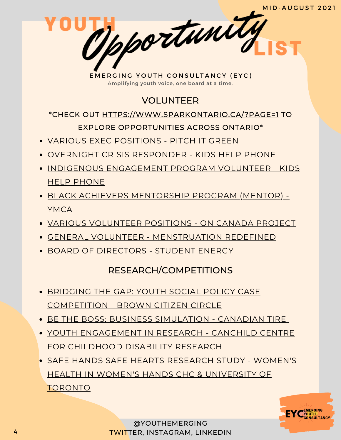

# VOLUNTEER

#### \*CHECK OUT [HTTPS://WWW.SPARKONTARIO.CA/?PAGE=1](https://www.sparkontario.ca/?page=1) TO EXPLORE OPPORTUNITIES ACROSS ONTARIO\*

- VARIOUS EXEC [POSITIONS](https://docs.google.com/forms/d/e/1FAIpQLSeljsUdDJpXIIqib-khVC6ee3avls_-3w4Xpz-oxv8LWUW3mA/viewform) PITCH IT GREEN
- OVERNIGHT CRISIS [RESPONDER](https://kidshelpphone.ca/get-involved/participate/call-volunteers-crisis-text-line) KIDS HELP PHONE
- INDIGENOUS [ENGAGEMENT](https://kidshelpphone.ca/get-involved/first-nations-inuit-and-metis/volunteer-for-our-indigenous-engagement-program/) PROGRAM VOLUNTEER KIDS HELP PHONE
- BLACK ACHIEVERS [MENTORSHIP](https://ymcagta.org/youth-programs/Black-Achievers-Mentorship-Program) PROGRAM (MENTOR) YMCA
- VARIOUS [VOLUNTEER](https://docs.google.com/forms/d/e/1FAIpQLSciMF1ROT1f_mGS2Wx822QU0zDYcf3zka0UC9rIAM9z03W8Pw/viewform) POSITIONS ON CANADA PROJECT
- GENERAL VOLUNTEER [MENSTRUATION](https://docs.google.com/forms/d/e/1FAIpQLSe-ORQRxArU5ZwQWT3JfGEjRtyUwanp5p64UPHwK1nL5Pz__w/viewform) REDEFINED
- BOARD OF [DIRECTORS](https://studentenergy.org/student-energys-board-of-directors-is-recruiting-two-new-directors/) STUDENT ENERGY

# RESEARCH/COMPETITIONS

- **[BRIDGING](https://www.browncitizencircle.ca/events/youth-social-policy-case-competition) THE GAP: YOUTH SOCIAL POLICY CASE** [COMPETITION](https://www.browncitizencircle.ca/events/youth-social-policy-case-competition) - BROWN CITIZEN CIRCLE
- BE THE BOSS: BUSINESS [SIMULATION](https://web.cvent.com/event/0c596248-56d3-422d-a7be-4a6be1b3b1ed/summary) CANADIAN TIRE
- YOUTH [ENGAGEMENT](https://www.canchild.ca/en/research-in-practice/current-studies/youth-engagement-in-research) IN RESEARCH CANCHILD CENTRE FOR CHILDHOOD DISABILITY RESEARCH
- SAFE HANDS SAFE HEARTS RESEARCH STUDY WOMEN'S HEALTH IN WOMEN'S HANDS CHC & [UNIVERSITY](https://www.safehandssafehearts.com/ca/) OF TORONTO

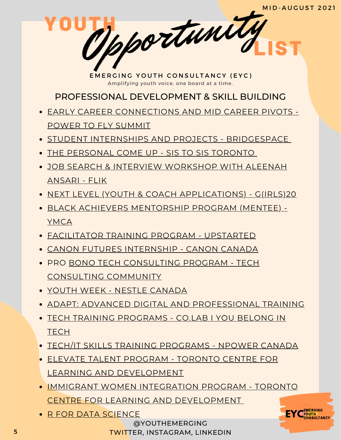PROFESSIONAL DEVELOPMENT & SKILL BUILDING

- [EA](https://summit.powertofly.com/)RLY CAREER [CONNECTIONS](https://summit.powertofly.com/) AND MID CAREER PIVOTS POWER TO FLY SUMMIT
- **STUDENT INTERNSHIPS AND PROJECTS [BRIDGESPACE](https://bridgespace.io/)**
- THE [PERSONAL](https://docs.google.com/forms/d/e/1FAIpQLSckp26KhOm7DfXsaNb0_JDS_plLspDnUygOP1cPJbexch6XDA/viewform) COME UP SIS TO SIS TORONTO
- JOB SEARCH & INTERVIEW [WORKSHOP](https://www.runtheworld.today/app/c/jobsearch-interviewskills) WITH ALEENAH ANSARI - FLIK
- NEXT LEVEL (YOUTH & COACH [APPLICATIONS\)](https://girls20.submittable.com/submit) G(IRLS)20
- BLACK ACHIEVERS [MENTORSHIP](https://ymcagta.org/youth-programs/Black-Achievers-Mentorship-Program) PROGRAM (MENTEE) YMCA
- [FACILITATOR](https://docs.google.com/forms/d/e/1FAIpQLSe1fDhYODRagameDOKsf4_FfWns-yNAQEeNTHWK5Pn7XxHuog/viewform) TRAINING PROGRAM UPSTARTED
- CANON FUTURES [INTERNSHIP](https://www.canonfutures.ca/) CANON CANADA
- [PRO](https://techconsultingcommunity.com/pro-bono-tech-consulting/) BONO TECH [CONSULTING](https://techconsultingcommunity.com/pro-bono-tech-consulting/) PROGRAM TECH CONSULTING COMMUNITY
- YOUTH WEEK NESTLE [CANADA](https://nestlecanadayouthweek.vfairs.com/en/registration)
- ADAPT: ADVANCED DIGITAL AND [PROFESSIONAL](https://www.ryerson.ca/adapt/) TRAINING
- TECH TRAINING [PROGRAMS](https://www.joincolab.io/#Program-Tracks) CO.LAB I YOU BELONG IN **TECH**
- TECH/IT SKILLS TRAINING [PROGRAMS](https://npowercanada.ca/) NPOWER CANADA
- ELEVATE TALENT PROGRAM TORONTO CENTRE FOR LEARNING AND [DEVELOPMENT](https://www.tccld.org/programs/elevatetalent/)
- IMMIGRANT WOMEN [INTEGRATION](https://survey.zohopublic.com/zs/I5CCbQ) PROGRAM TORONTO CENTRE FOR LEARNING AND [DEVELOPMENT](https://survey.zohopublic.com/zs/I5CCbQ)
- R FOR DATA [SCIENCE](https://r4ds.had.co.nz/)



@YOUTHEMERGING TWITTER, INSTAGRAM, LINKEDIN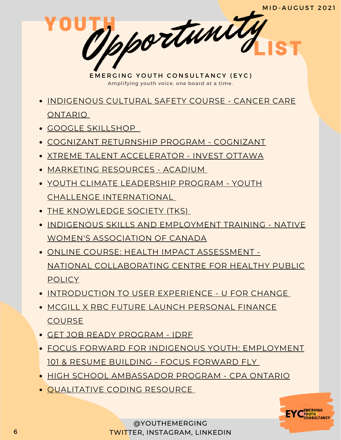EMERGING YOUTH CONSULTANCY (EYC) Amplifying youth voice, one board at a time. [INDIGENOUS](https://elearning.cancercare.on.ca/course/view.php?id=101) CULTURAL SAFETY COURSE - CANCER CARE ONTARIO GOOGLE [SKILLSHOP](https://skillshop.withgoogle.com/) COGNIZANT [RETURNSHIP](https://careers.cognizant.com/global/en/cognizant-returnship-program) PROGRAM - COGNIZANT XTREME TALENT [ACCELERATOR](https://www.investottawa.ca/xtreme-talent-accelerator/?utm_source=LinkedIn&utm_medium=Paid%20Ads&utm_campaign=XTAP%20Paid%20Ads&li_fat_id=f24b5ec5-db43-4428-88f9-92b5a2d0c0dc) - INVEST OTTAWA MARKETING [RESOURCES](https://acadium.com/) - ACADIUM YOUTH CLIMATE LEADERSHIP PROGRAM - YOUTH CHALLENGE [INTERNATIONAL](https://www.yci.org/innovatemyfuture/youth-climate-leadership/) THE [KNOWLEDGE](https://tks.world/program/) SOCIETY (TKS) **• INDIGENOUS SKILLS AND [EMPLOYMENT](https://www.nwac.ca/iset/) TRAINING - NATIVE** WOMEN'S ASSOCIATION OF CANADA ONLINE COURSE: HEALTH IMPACT ASSESSMENT - M D Ortwarty

- **POLICY**
- **[INTRODUCTION](https://docs.google.com/forms/d/e/1FAIpQLSctSd9ZAcZBpswQj0URzEHVXlpF--qyT2AR6_1tKyoFS1iIYQ/viewform) TO USER EXPERIENCE U FOR CHANGE**

NATIONAL [COLLABORATING](https://www.ncchpp.ca/274/online-course.ccnpps) CENTRE FOR HEALTHY PUBLIC

- **MCGILL X RBC FUTURE LAUNCH [PERSONAL](https://learn.mcgillpersonalfinance.com/account/login/) FINANCE COURSE**
- GET JOB READY [PROGRAM](https://idrf.ca/project/getjobready/) IDRF
- FOCUS FORWARD FOR INDIGENOUS YOUTH: [EMPLOYMENT](https://docs.google.com/forms/d/e/1FAIpQLSfRCREo2hIabn1L271SDl0wPRkApB5N12_6bON-DnyYu8lGEg/viewform) 101 & RESUME BUILDING - FOCUS FORWARD FLY
- HIGH SCHOOL [AMBASSADOR](https://www.cpaontario.ca/become-a-cpa/why-cpa/high-school-ambassador-program) PROGRAM CPA ONTARIO
- [QUALITATIVE](https://www.linkedin.com/posts/drphilipadu_qualitative-data-coding-workshop-activity-6819644783024230400-d0mU/) CODING RESOURCE